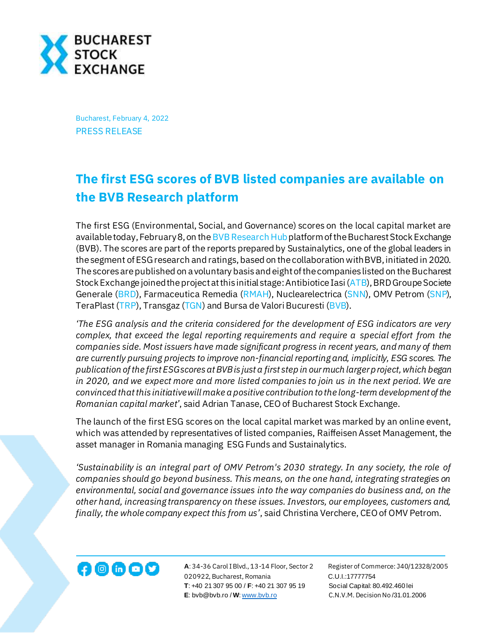

Bucharest, February 4, 2022 PRESS RELEASE

## **The first ESG scores of BVB listed companies are available on the BVB Research platform**

The first ESG (Environmental, Social, and Governance) scores on the local capital market are available today, February 8, on th[e BVB Research Hub](https://bvbresearch.ro/) platform of the Bucharest Stock Exchange (BVB). The scores are part of the reports prepared by Sustainalytics, one of the global leaders in the segment of ESG research and ratings, based on the collaboration with BVB, initiated in 2020. The scores are published on a voluntary basis andeight of the companies listed on the Bucharest Stock Exchange joined the project at this initial stage: Antibiotice Iasi [\(ATB](https://bvb.ro/FinancialInstruments/Details/FinancialInstrumentsDetails.aspx?s=ATB)), BRD Groupe Societe Generale [\(BRD\)](https://bvb.ro/FinancialInstruments/Details/FinancialInstrumentsDetails.aspx?s=BRD), Farmaceutica Remedia [\(RMAH\)](https://bvb.ro/FinancialInstruments/Details/FinancialInstrumentsDetails.aspx?s=RMAH), Nuclearelectrica [\(SNN\)](https://bvb.ro/FinancialInstruments/Details/FinancialInstrumentsDetails.aspx?s=SNN), OMV Petrom [\(SNP\)](https://bvb.ro/FinancialInstruments/Details/FinancialInstrumentsDetails.aspx?s=snp), TeraPlast [\(TRP\)](https://bvb.ro/FinancialInstruments/Details/FinancialInstrumentsDetails.aspx?s=TRP), Transgaz [\(TGN](https://bvb.ro/FinancialInstruments/Details/FinancialInstrumentsDetails.aspx?s=TGN)) and Bursa de Valori Bucuresti [\(BVB\)](https://bvb.ro/FinancialInstruments/Details/FinancialInstrumentsDetails.aspx?s=bvb).

*'The ESG analysis and the criteria considered for the development of ESG indicators are very complex, that exceed the legal reporting requirements and require a special effort from the companies side. Most issuers have made significant progress in recent years, and many of them are currently pursuing projects to improve non-financial reporting and, implicitly, ESG scores. The publication of the first ESG scores at BVB is just a first step in our much larger project, which began in 2020, and we expect more and more listed companies to join us in the next period. We are convinced that this initiative will make a positive contribution to the long-term development of the Romanian capital market'*, said Adrian Tanase, CEO of Bucharest Stock Exchange.

The launch of the first ESG scores on the local capital market was marked by an online event, which was attended by representatives of listed companies, Raiffeisen Asset Management, the asset manager in Romania managing ESG Funds and Sustainalytics.

*'Sustainability is an integral part of OMV Petrom's 2030 strategy. In any society, the role of companies should go beyond business. This means, on the one hand, integrating strategies on environmental, social and governance issues into the way companies do business and, on the other hand, increasing transparency on these issues. Investors, our employees, customers and, finally, the whole company expect this from us'*, said Christina Verchere, CEO of OMV Petrom.



**A**: 34-36 Carol I Blvd., 13-14 Floor, Sector 2 Register of Commerce: J40/12328/2005 020922, Bucharest, Romania C.U.I.:17777754  **T**: +40 21 307 95 00 / **F**: +40 21 307 95 19 Social Capital: 80.492.460 lei **E**: bvb@bvb.ro / **W**[: www.bvb.ro](http://www.bvb.ro/) C.N.V.M. Decision No /31.01.2006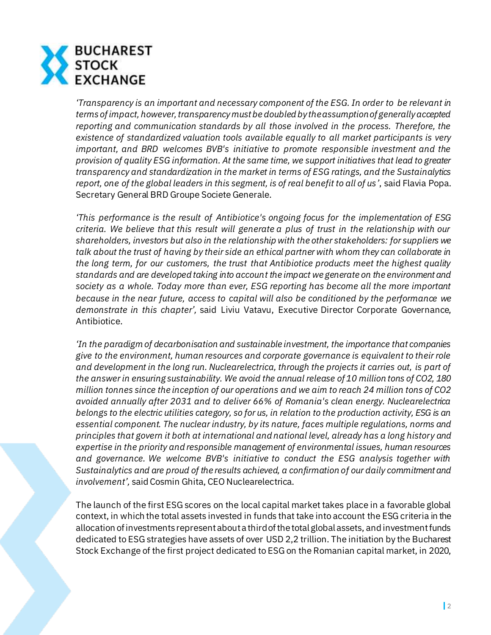

*'Transparency is an important and necessary component of the ESG. In order to be relevant in terms of impact, however, transparency must be doubled by the assumption of generally accepted reporting and communication standards by all those involved in the process. Therefore, the existence of standardized valuation tools available equally to all market participants is very important, and BRD welcomes BVB's initiative to promote responsible investment and the provision of quality ESG information. At the same time, we support initiatives that lead to greater transparency and standardization in the market in terms of ESG ratings, and the Sustainalytics report, one of the global leaders in this segment, is of real benefit to all of us'*, said Flavia Popa. Secretary General BRD Groupe Societe Generale.

*'This performance is the result of Antibiotice's ongoing focus for the implementation of ESG criteria. We believe that this result will generate a plus of trust in the relationship with our shareholders, investors but also in the relationship with the other stakeholders: for suppliers we talk about the trust of having by their side an ethical partner with whom they can collaborate in the long term, for our customers, the trust that Antibiotice products meet the highest quality standards and are developed taking into account the impact we generate on the environment and society as a whole. Today more than ever, ESG reporting has become all the more important because in the near future, access to capital will also be conditioned by the performance we demonstrate in this chapter',* said Liviu Vatavu, Executive Director Corporate Governance, Antibiotice.

*'In the paradigm of decarbonisation and sustainable investment, the importance that companies give to the environment, human resources and corporate governance is equivalent to their role and development in the long run. Nuclearelectrica, through the projects it carries out, is part of the answer in ensuring sustainability. We avoid the annual release of 10 million tons of CO2, 180 million tonnes since the inception of our operations and we aim to reach 24 million tons of CO2 avoided annually after 2031 and to deliver 66% of Romania's clean energy. Nuclearelectrica belongs to the electric utilities category, so for us, in relation to the production activity, ESG is an essential component. The nuclear industry, by its nature, faces multiple regulations, norms and principles that govern it both at international and national level, already has a long history and expertise in the priority and responsible management of environmental issues, human resources and governance. We welcome BVB's initiative to conduct the ESG analysis together with Sustainalytics and are proud of the results achieved, a confirmation of our daily commitment and involvement',* said Cosmin Ghita, CEO Nuclearelectrica.

The launch of the first ESG scores on the local capital market takes place in a favorable global context, in which the total assets invested in funds that take into account the ESG criteria in the allocation of investments represent about a third of the total global assets, and investment funds dedicated to ESG strategies have assets of over USD 2,2 trillion. The initiation by the Bucharest Stock Exchange of the first project dedicated to ESG on the Romanian capital market, in 2020,